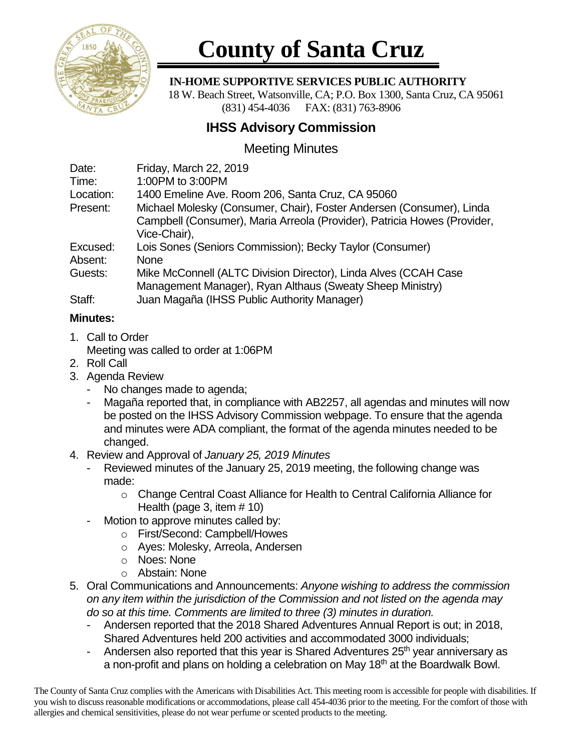

# **County of Santa Cruz**

### **IN-HOME SUPPORTIVE SERVICES PUBLIC AUTHORITY**

 18 W. Beach Street, Watsonville, CA; P.O. Box 1300, Santa Cruz, CA 95061 (831) 454-4036 FAX: (831) 763-8906

## **IHSS Advisory Commission**

## Meeting Minutes

| Date:     | Friday, March 22, 2019                                                   |
|-----------|--------------------------------------------------------------------------|
| Time:     | 1:00PM to 3:00PM                                                         |
| Location: | 1400 Emeline Ave. Room 206, Santa Cruz, CA 95060                         |
| Present:  | Michael Molesky (Consumer, Chair), Foster Andersen (Consumer), Linda     |
|           | Campbell (Consumer), Maria Arreola (Provider), Patricia Howes (Provider, |
|           | Vice-Chair),                                                             |
| Excused:  | Lois Sones (Seniors Commission); Becky Taylor (Consumer)                 |
| Absent:   | <b>None</b>                                                              |
| Guests:   | Mike McConnell (ALTC Division Director), Linda Alves (CCAH Case          |
|           | Management Manager), Ryan Althaus (Sweaty Sheep Ministry)                |
| Staff:    | Juan Magaña (IHSS Public Authority Manager)                              |

### **Minutes:**

- 1. Call to Order Meeting was called to order at 1:06PM
- 2. Roll Call
- 3. Agenda Review
	- No changes made to agenda;
	- Magaña reported that, in compliance with AB2257, all agendas and minutes will now be posted on the IHSS Advisory Commission webpage. To ensure that the agenda and minutes were ADA compliant, the format of the agenda minutes needed to be changed.
- 4. Review and Approval of *January 25, 2019 Minutes*
	- Reviewed minutes of the January 25, 2019 meeting, the following change was made:
		- o Change Central Coast Alliance for Health to Central California Alliance for Health (page 3, item # 10)
	- Motion to approve minutes called by:
		- o First/Second: Campbell/Howes
		- o Ayes: Molesky, Arreola, Andersen
		- o Noes: None
		- o Abstain: None
- 5. Oral Communications and Announcements: *Anyone wishing to address the commission on any item within the jurisdiction of the Commission and not listed on the agenda may do so at this time. Comments are limited to three (3) minutes in duration.*
	- Andersen reported that the 2018 Shared Adventures Annual Report is out; in 2018, Shared Adventures held 200 activities and accommodated 3000 individuals;
	- Andersen also reported that this year is Shared Adventures 25<sup>th</sup> year anniversary as a non-profit and plans on holding a celebration on May 18th at the Boardwalk Bowl.

The County of Santa Cruz complies with the Americans with Disabilities Act. This meeting room is accessible for people with disabilities. If you wish to discuss reasonable modifications or accommodations, please call 454-4036 prior to the meeting. For the comfort of those with allergies and chemical sensitivities, please do not wear perfume or scented products to the meeting.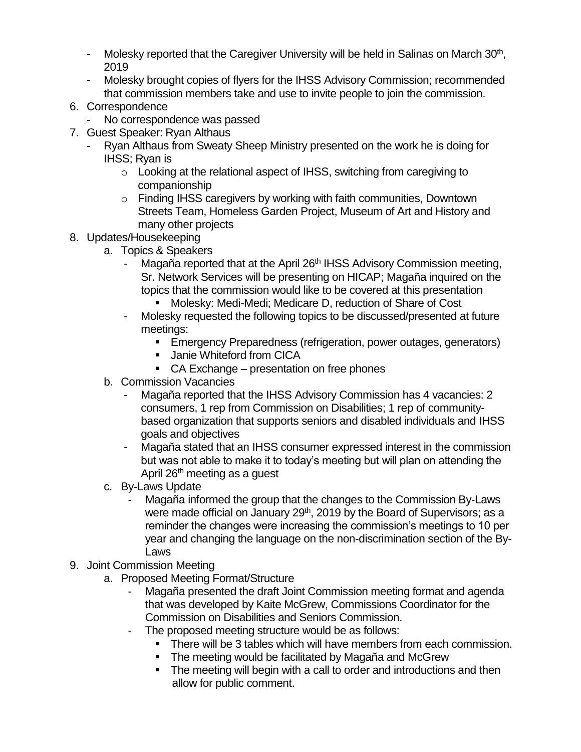- Molesky reported that the Caregiver University will be held in Salinas on March  $30<sup>th</sup>$ , 2019
- Molesky brought copies of flyers for the IHSS Advisory Commission; recommended that commission members take and use to invite people to join the commission.
- 6. Correspondence
	- No correspondence was passed
- 7. Guest Speaker: Ryan Althaus
	- Ryan Althaus from Sweaty Sheep Ministry presented on the work he is doing for IHSS; Ryan is
		- o Looking at the relational aspect of IHSS, switching from caregiving to companionship
		- o Finding IHSS caregivers by working with faith communities, Downtown Streets Team, Homeless Garden Project, Museum of Art and History and many other projects

## 8. Updates/Housekeeping

- a. Topics & Speakers
	- Magaña reported that at the April 26<sup>th</sup> IHSS Advisory Commission meeting, Sr. Network Services will be presenting on HICAP; Magaña inquired on the topics that the commission would like to be covered at this presentation
		- Molesky: Medi-Medi; Medicare D, reduction of Share of Cost
	- Molesky requested the following topics to be discussed/presented at future meetings:
		- **Emergency Preparedness (refrigeration, power outages, generators)**
		- Janie Whiteford from CICA
		- CA Exchange presentation on free phones
- b. Commission Vacancies
	- Magaña reported that the IHSS Advisory Commission has 4 vacancies: 2 consumers, 1 rep from Commission on Disabilities; 1 rep of communitybased organization that supports seniors and disabled individuals and IHSS goals and objectives
	- Magaña stated that an IHSS consumer expressed interest in the commission but was not able to make it to today's meeting but will plan on attending the April 26<sup>th</sup> meeting as a quest
- c. By-Laws Update
	- Magaña informed the group that the changes to the Commission By-Laws were made official on January 29<sup>th</sup>, 2019 by the Board of Supervisors; as a reminder the changes were increasing the commission's meetings to 10 per year and changing the language on the non-discrimination section of the By-Laws
- 9. Joint Commission Meeting
	- a. Proposed Meeting Format/Structure
		- Magaña presented the draft Joint Commission meeting format and agenda that was developed by Kaite McGrew, Commissions Coordinator for the Commission on Disabilities and Seniors Commission.
		- The proposed meeting structure would be as follows:
			- **EXECT** There will be 3 tables which will have members from each commission.
			- The meeting would be facilitated by Magaña and McGrew
			- The meeting will begin with a call to order and introductions and then allow for public comment.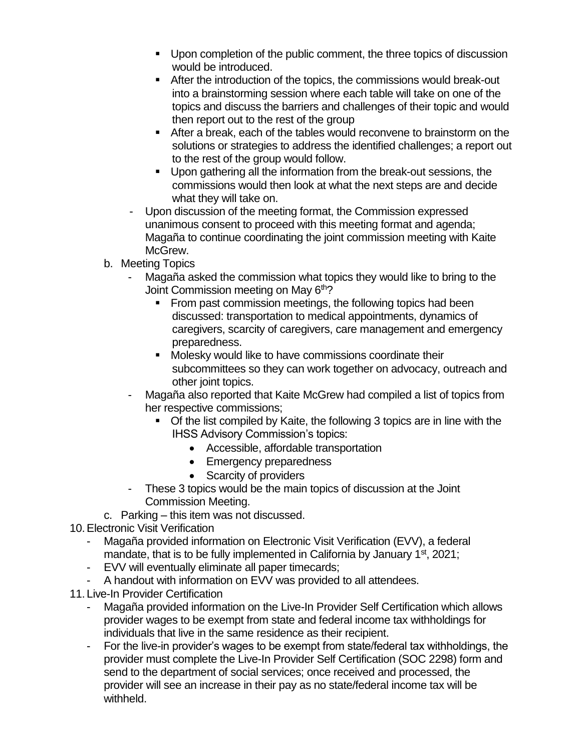- Upon completion of the public comment, the three topics of discussion would be introduced.
- After the introduction of the topics, the commissions would break-out into a brainstorming session where each table will take on one of the topics and discuss the barriers and challenges of their topic and would then report out to the rest of the group
- After a break, each of the tables would reconvene to brainstorm on the solutions or strategies to address the identified challenges; a report out to the rest of the group would follow.
- Upon gathering all the information from the break-out sessions, the commissions would then look at what the next steps are and decide what they will take on.
- Upon discussion of the meeting format, the Commission expressed unanimous consent to proceed with this meeting format and agenda; Magaña to continue coordinating the joint commission meeting with Kaite McGrew.
- b. Meeting Topics
	- Magaña asked the commission what topics they would like to bring to the Joint Commission meeting on May 6<sup>th</sup>?
		- From past commission meetings, the following topics had been discussed: transportation to medical appointments, dynamics of caregivers, scarcity of caregivers, care management and emergency preparedness.
		- Molesky would like to have commissions coordinate their subcommittees so they can work together on advocacy, outreach and other joint topics.
	- Magaña also reported that Kaite McGrew had compiled a list of topics from her respective commissions;
		- Of the list compiled by Kaite, the following 3 topics are in line with the IHSS Advisory Commission's topics:
			- Accessible, affordable transportation
			- Emergency preparedness
			- Scarcity of providers
	- These 3 topics would be the main topics of discussion at the Joint Commission Meeting.
- c. Parking this item was not discussed.
- 10.Electronic Visit Verification
	- Magaña provided information on Electronic Visit Verification (EVV), a federal mandate, that is to be fully implemented in California by January  $1<sup>st</sup>$ , 2021;
	- EVV will eventually eliminate all paper timecards;
	- A handout with information on EVV was provided to all attendees.
- 11. Live-In Provider Certification
	- Magaña provided information on the Live-In Provider Self Certification which allows provider wages to be exempt from state and federal income tax withholdings for individuals that live in the same residence as their recipient.
	- For the live-in provider's wages to be exempt from state/federal tax withholdings, the provider must complete the Live-In Provider Self Certification (SOC 2298) form and send to the department of social services; once received and processed, the provider will see an increase in their pay as no state/federal income tax will be withheld.